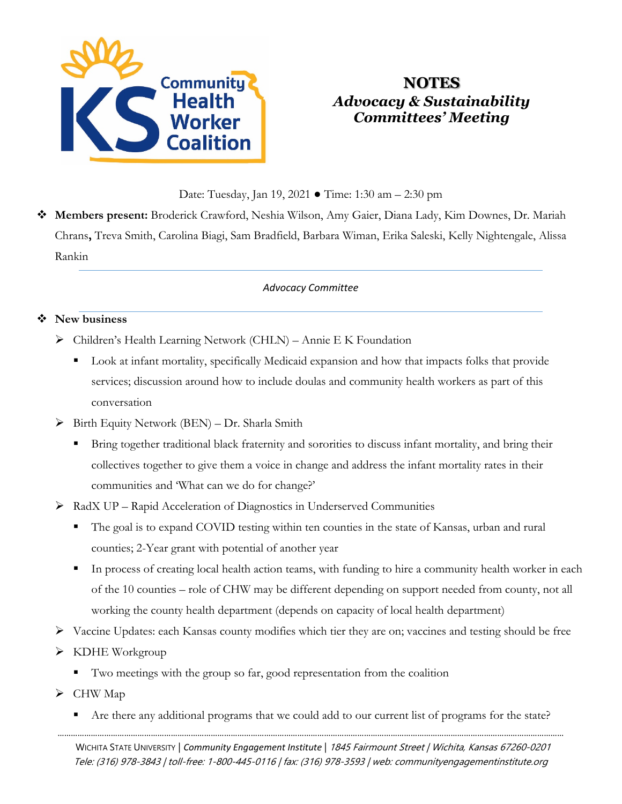

# **NOTES** *Advocacy & Sustainability Committees' Meeting*

Date: Tuesday, Jan 19, 2021 ● Time: 1:30 am – 2:30 pm

 **Members present:** Broderick Crawford, Neshia Wilson, Amy Gaier, Diana Lady, Kim Downes, Dr. Mariah Chrans**,** Treva Smith, Carolina Biagi, Sam Bradfield, Barbara Wiman, Erika Saleski, Kelly Nightengale, Alissa Rankin

#### *Advocacy Committee*

#### **New business**

- Children's Health Learning Network (CHLN) Annie E K Foundation
	- Look at infant mortality, specifically Medicaid expansion and how that impacts folks that provide services; discussion around how to include doulas and community health workers as part of this conversation
- $\triangleright$  Birth Equity Network (BEN) Dr. Sharla Smith
	- Bring together traditional black fraternity and sororities to discuss infant mortality, and bring their collectives together to give them a voice in change and address the infant mortality rates in their communities and 'What can we do for change?'
- $\triangleright$  RadX UP Rapid Acceleration of Diagnostics in Underserved Communities
	- The goal is to expand COVID testing within ten counties in the state of Kansas, urban and rural counties; 2-Year grant with potential of another year
	- In process of creating local health action teams, with funding to hire a community health worker in each of the 10 counties – role of CHW may be different depending on support needed from county, not all working the county health department (depends on capacity of local health department)
- Vaccine Updates: each Kansas county modifies which tier they are on; vaccines and testing should be free
- $\triangleright$  KDHE Workgroup
	- Two meetings with the group so far, good representation from the coalition
- $\triangleright$  CHW Map
- ………………………………………………………………………………………………………………………………………………………………………………………………………… Are there any additional programs that we could add to our current list of programs for the state?

WICHITA STATE UNIVERSITY | *Community Engagement Institute* | 1845 Fairmount Street | Wichita, Kansas 67260-0201 Tele: (316) 978-3843 | toll-free: 1-800-445-0116 | fax: (316) 978-3593 | web: communityengagementinstitute.org